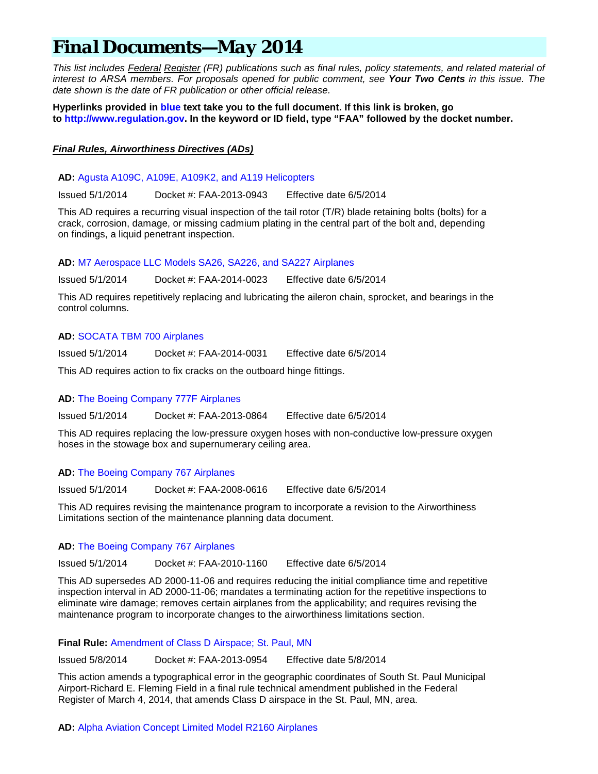# *Final Documents—May 2014*

*This list includes Federal Register (FR) publications such as final rules, policy statements, and related material of interest to ARSA members. For proposals opened for public comment, see Your Two Cents in this issue. The date shown is the date of FR publication or other official release.*

**Hyperlinks provided in blue text take you to the full document. If this link is broken, go to [http://www.regulation.gov.](http://www.regulation.gov/) In the keyword or ID field, type "FAA" followed by the docket number.**

# *Final Rules, Airworthiness Directives (ADs)*

**AD:** [Agusta A109C, A109E, A109K2, and A119 Helicopters](https://www.federalregister.gov/articles/2014/05/01/2014-09414/airworthiness-directives-agustawestland-spa-type-certificate-previously-held-by-agusta-spa-agusta)

Issued 5/1/2014 Docket #: FAA-2013-0943 Effective date 6/5/2014

This AD requires a recurring visual inspection of the tail rotor (T/R) blade retaining bolts (bolts) for a crack, corrosion, damage, or missing cadmium plating in the central part of the bolt and, depending on findings, a liquid penetrant inspection.

**AD:** [M7 Aerospace LLC Models SA26, SA226, and SA227 Airplanes](https://www.federalregister.gov/articles/2014/05/01/2014-09419/airworthiness-directives-m7-aerospace-llc-airplanes)

Issued 5/1/2014 Docket #: FAA-2014-0023 Effective date 6/5/2014

This AD requires repetitively replacing and lubricating the aileron chain, sprocket, and bearings in the control columns.

# **AD:** [SOCATA TBM 700 Airplanes](https://www.federalregister.gov/articles/2014/05/01/2014-09421/airworthiness-directives-socata-airplanes)

Issued 5/1/2014 Docket #: FAA-2014-0031 Effective date 6/5/2014

This AD requires action to fix cracks on the outboard hinge fittings.

# **AD:** [The Boeing Company 777F Airplanes](https://www.federalregister.gov/articles/2014/05/01/2014-09413/airworthiness-directives-the-boeing-company-airplanes)

Issued 5/1/2014 Docket #: FAA-2013-0864 Effective date 6/5/2014

This AD requires replacing the low-pressure oxygen hoses with non-conductive low-pressure oxygen hoses in the stowage box and supernumerary ceiling area.

# **AD:** [The Boeing Company 767 Airplanes](https://www.federalregister.gov/articles/2014/05/01/2014-09239/airworthiness-directives-the-boeing-company-airplanes)

Issued 5/1/2014 Docket #: FAA-2008-0616 Effective date 6/5/2014

This AD requires revising the maintenance program to incorporate a revision to the Airworthiness Limitations section of the maintenance planning data document.

# **AD:** [The Boeing Company 767 Airplanes](https://www.federalregister.gov/articles/2014/05/01/2014-09094/airworthiness-directives-the-boeing-company-airplanes)

Issued 5/1/2014 Docket #: FAA-2010-1160 Effective date 6/5/2014

This AD supersedes AD 2000-11-06 and requires reducing the initial compliance time and repetitive inspection interval in AD 2000-11-06; mandates a terminating action for the repetitive inspections to eliminate wire damage; removes certain airplanes from the applicability; and requires revising the maintenance program to incorporate changes to the airworthiness limitations section.

# **Final Rule:** [Amendment of Class D Airspace; St. Paul, MN](https://www.federalregister.gov/articles/2014/05/08/2014-09881/amendment-of-class-d-airspace-st-paul-mn)

Issued 5/8/2014 Docket #: FAA-2013-0954 Effective date 5/8/2014

This action amends a typographical error in the geographic coordinates of South St. Paul Municipal Airport-Richard E. Fleming Field in a final rule technical amendment published in the Federal Register of March 4, 2014, that amends Class D airspace in the St. Paul, MN, area.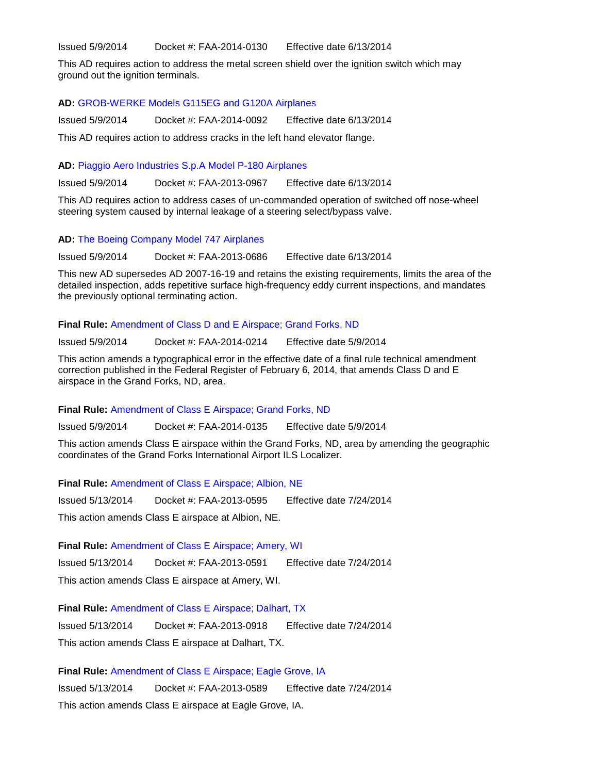Issued 5/9/2014 Docket #: FAA-2014-0130 Effective date 6/13/2014

This AD requires action to address the metal screen shield over the ignition switch which may ground out the ignition terminals.

## **AD:** [GROB-WERKE Models G115EG and G120A Airplanes](https://www.federalregister.gov/articles/2014/05/09/2014-10060/airworthiness-directives-grob-werke-airplanes)

Issued 5/9/2014 Docket #: FAA-2014-0092 Effective date 6/13/2014 This AD requires action to address cracks in the left hand elevator flange.

# **AD:** [Piaggio Aero Industries S.p.A Model P-180 Airplanes](https://www.federalregister.gov/articles/2014/05/09/2014-09431/airworthiness-directives-piaggio-aero-industries-spa-airplanes)

Issued 5/9/2014 Docket #: FAA-2013-0967 Effective date 6/13/2014

This AD requires action to address cases of un-commanded operation of switched off nose-wheel steering system caused by internal leakage of a steering select/bypass valve.

## **AD:** [The Boeing Company Model 747 Airplanes](https://www.federalregister.gov/articles/2014/05/09/2014-09832/airworthiness-directives-the-boeing-company-airplanes)

Issued 5/9/2014 Docket #: FAA-2013-0686 Effective date 6/13/2014

This new AD supersedes AD 2007-16-19 and retains the existing requirements, limits the area of the detailed inspection, adds repetitive surface high-frequency eddy current inspections, and mandates the previously optional terminating action.

## **Final Rule:** [Amendment of Class D and E Airspace; Grand Forks, ND](https://www.federalregister.gov/articles/2014/05/09/2014-09892/amendment-of-class-d-and-e-airspace-grand-forks-nd)

Issued 5/9/2014 Docket #: FAA-2014-0214 Effective date 5/9/2014

This action amends a typographical error in the effective date of a final rule technical amendment correction published in the Federal Register of February 6, 2014, that amends Class D and E airspace in the Grand Forks, ND, area.

# **Final Rule:** [Amendment of Class E Airspace; Grand Forks, ND](https://www.federalregister.gov/articles/2014/05/09/2014-10597/amendment-of-class-e-airspace-grand-forks-nd)

Issued 5/9/2014 Docket #: FAA-2014-0135 Effective date 5/9/2014

This action amends Class E airspace within the Grand Forks, ND, area by amending the geographic coordinates of the Grand Forks International Airport ILS Localizer.

**Final Rule:** [Amendment of Class E Airspace; Albion, NE](https://www.federalregister.gov/articles/2014/05/13/2014-10866/amendment-of-class-e-airspace-albion-ne)

Issued 5/13/2014 Docket #: FAA-2013-0595 Effective date 7/24/2014 This action amends Class E airspace at Albion, NE.

**Final Rule:** [Amendment of Class E Airspace; Amery, WI](https://www.federalregister.gov/articles/2014/05/13/2014-10848/amendment-of-class-e-airspace-amery-wi) Issued 5/13/2014 Docket #: FAA-2013-0591 Effective date 7/24/2014 This action amends Class E airspace at Amery, WI.

**Final Rule:** [Amendment of Class E Airspace; Dalhart, TX](https://www.federalregister.gov/articles/2014/05/13/2014-10863/amendment-of-class-e-airspace-dalhart-tx)

Issued 5/13/2014 Docket #: FAA-2013-0918 Effective date 7/24/2014 This action amends Class E airspace at Dalhart, TX.

**Final Rule:** [Amendment of Class E Airspace; Eagle Grove, IA](https://www.federalregister.gov/articles/2014/05/13/2014-10862/amendment-of-class-e-airspace-eagle-grove-ia)

Issued 5/13/2014 Docket #: FAA-2013-0589 Effective date 7/24/2014 This action amends Class E airspace at Eagle Grove, IA.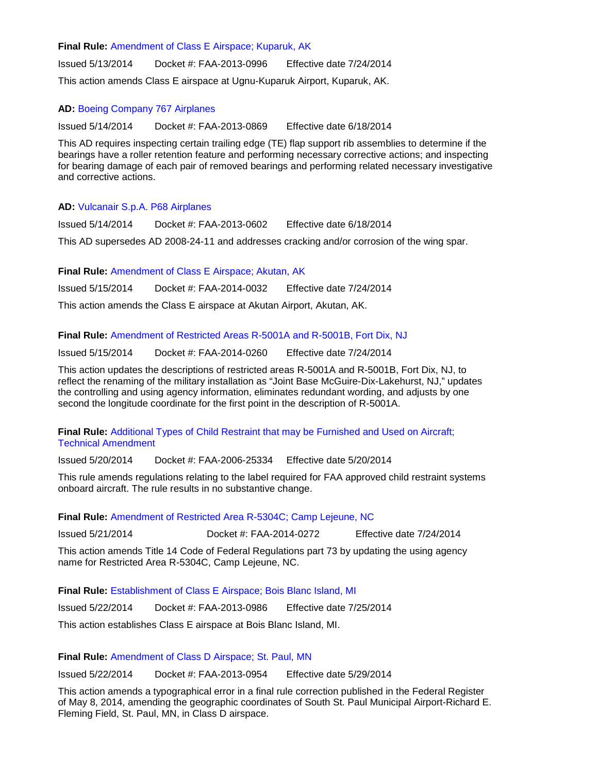# **Final Rule:** [Amendment of Class E Airspace; Kuparuk, AK](https://www.federalregister.gov/articles/2014/05/13/2014-10867/amendment-of-class-e-airspace-kuparuk-ak)

Issued 5/13/2014 Docket #: FAA-2013-0996 Effective date 7/24/2014 This action amends Class E airspace at Ugnu-Kuparuk Airport, Kuparuk, AK.

# **AD:** [Boeing Company 767 Airplanes](https://www.federalregister.gov/articles/2014/05/14/2014-09953/airworthiness-directives-the-boeing-company-airplanes)

Issued 5/14/2014 Docket #: FAA-2013-0869 Effective date 6/18/2014

This AD requires inspecting certain trailing edge (TE) flap support rib assemblies to determine if the bearings have a roller retention feature and performing necessary corrective actions; and inspecting for bearing damage of each pair of removed bearings and performing related necessary investigative and corrective actions.

# **AD:** [Vulcanair S.p.A. P68 Airplanes](https://www.federalregister.gov/articles/2014/05/14/2014-10789/airworthiness-directives-vulcanair-spa-airplanes)

Issued 5/14/2014 Docket #: FAA-2013-0602 Effective date 6/18/2014

This AD supersedes AD 2008-24-11 and addresses cracking and/or corrosion of the wing spar.

**Final Rule:** [Amendment of Class E Airspace; Akutan, AK](https://www.federalregister.gov/articles/2014/05/15/2014-11109/amendment-of-class-e-airspace-akutan-ak)

Issued 5/15/2014 Docket #: FAA-2014-0032 Effective date 7/24/2014

This action amends the Class E airspace at Akutan Airport, Akutan, AK.

# **Final Rule:** [Amendment of Restricted Areas R-5001A and R-5001B, Fort Dix, NJ](https://www.federalregister.gov/articles/2014/05/15/2014-11104/amendment-of-restricted-areas-r-5001a-and-r-5001b-fort-dix-nj)

Issued 5/15/2014 Docket #: FAA-2014-0260 Effective date 7/24/2014

This action updates the descriptions of restricted areas R-5001A and R-5001B, Fort Dix, NJ, to reflect the renaming of the military installation as "Joint Base McGuire-Dix-Lakehurst, NJ," updates the controlling and using agency information, eliminates redundant wording, and adjusts by one second the longitude coordinate for the first point in the description of R-5001A.

# **Final Rule:** [Additional Types of Child Restraint that may be Furnished and Used on Aircraft;](https://www.federalregister.gov/articles/2014/05/20/2014-11554/additional-types-of-child-restraint-that-may-be-furnished-and-used-on-aircraft-technical-amendment)  [Technical Amendment](https://www.federalregister.gov/articles/2014/05/20/2014-11554/additional-types-of-child-restraint-that-may-be-furnished-and-used-on-aircraft-technical-amendment)

Issued 5/20/2014 Docket #: FAA-2006-25334 Effective date 5/20/2014

This rule amends regulations relating to the label required for FAA approved child restraint systems onboard aircraft. The rule results in no substantive change.

# **Final Rule:** [Amendment of Restricted Area R-5304C; Camp Lejeune, NC](https://www.federalregister.gov/articles/2014/05/21/2014-11779/amendment-of-restricted-area-r-5304c-camp-lejeune-nc)

Issued 5/21/2014 Docket #: FAA-2014-0272 Effective date 7/24/2014

This action amends Title 14 Code of Federal Regulations part 73 by updating the using agency name for Restricted Area R-5304C, Camp Lejeune, NC.

**Final Rule:** [Establishment of Class E Airspace; Bois Blanc Island, MI](https://www.federalregister.gov/articles/2014/05/22/2014-11382/establishment-of-class-e-airspace-bois-blanc-island-mi)

Issued 5/22/2014 Docket #: FAA-2013-0986 Effective date 7/25/2014

This action establishes Class E airspace at Bois Blanc Island, MI.

**Final Rule:** [Amendment of Class D Airspace; St. Paul, MN](https://www.federalregister.gov/articles/2014/05/22/2014-11856/amendment-of-class-d-airspace-st-paul-mn)

Issued 5/22/2014 Docket #: FAA-2013-0954 Effective date 5/29/2014

This action amends a typographical error in a final rule correction published in the Federal Register of May 8, 2014, amending the geographic coordinates of South St. Paul Municipal Airport-Richard E. Fleming Field, St. Paul, MN, in Class D airspace.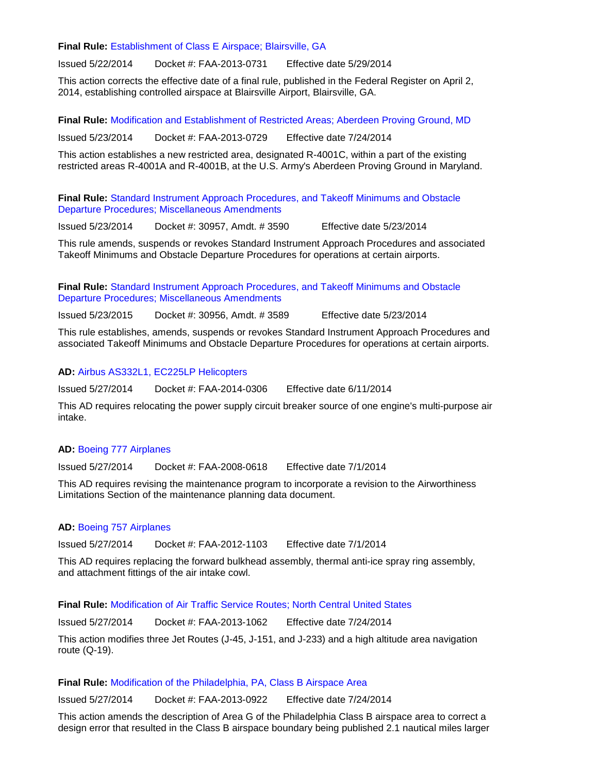**Final Rule:** [Establishment of Class E Airspace; Blairsville, GA](https://www.federalregister.gov/articles/2014/05/22/2014-11860/establishment-of-class-e-airspace-blairsville-ga)

Issued 5/22/2014 Docket #: FAA-2013-0731 Effective date 5/29/2014

This action corrects the effective date of a final rule, published in the Federal Register on April 2, 2014, establishing controlled airspace at Blairsville Airport, Blairsville, GA.

**Final Rule:** [Modification and Establishment of Restricted Areas; Aberdeen Proving Ground, MD](https://www.federalregister.gov/articles/2014/05/23/2014-11976/modification-and-establishment-of-restricted-areas-aberdeen-proving-ground-md)

Issued 5/23/2014 Docket #: FAA-2013-0729 Effective date 7/24/2014

This action establishes a new restricted area, designated R-4001C, within a part of the existing restricted areas R-4001A and R-4001B, at the U.S. Army's Aberdeen Proving Ground in Maryland.

**Final Rule:** [Standard Instrument Approach Procedures, and Takeoff Minimums and Obstacle](https://www.federalregister.gov/articles/2014/05/23/2014-11556/standard-instrument-approach-procedures-and-takeoff-minimums-and-obstacle-departure-procedures)  [Departure Procedures; Miscellaneous Amendments](https://www.federalregister.gov/articles/2014/05/23/2014-11556/standard-instrument-approach-procedures-and-takeoff-minimums-and-obstacle-departure-procedures)

Issued 5/23/2014 Docket #: 30957, Amdt. # 3590 Effective date 5/23/2014

This rule amends, suspends or revokes Standard Instrument Approach Procedures and associated Takeoff Minimums and Obstacle Departure Procedures for operations at certain airports.

**Final Rule:** [Standard Instrument Approach Procedures, and Takeoff Minimums and Obstacle](https://www.federalregister.gov/articles/2014/05/23/2014-11558/standard-instrument-approach-procedures-and-takeoff-minimums-and-obstacle-departure-procedures)  [Departure Procedures; Miscellaneous Amendments](https://www.federalregister.gov/articles/2014/05/23/2014-11558/standard-instrument-approach-procedures-and-takeoff-minimums-and-obstacle-departure-procedures)

Issued 5/23/2015 Docket #: 30956, Amdt. # 3589 Effective date 5/23/2014

This rule establishes, amends, suspends or revokes Standard Instrument Approach Procedures and associated Takeoff Minimums and Obstacle Departure Procedures for operations at certain airports.

**AD:** [Airbus AS332L1, EC225LP Helicopters](https://www.federalregister.gov/articles/2014/05/27/2014-11528/airworthiness-directives-airbus-helicopters-type-certificate-previously-held-by-eurocopter-france)

Issued 5/27/2014 Docket #: FAA-2014-0306 Effective date 6/11/2014

This AD requires relocating the power supply circuit breaker source of one engine's multi-purpose air intake.

# **AD:** [Boeing 777 Airplanes](https://www.federalregister.gov/articles/2014/05/27/2014-12093/airworthiness-directives-the-boeing-company-airplanes)

Issued 5/27/2014 Docket #: FAA-2008-0618 Effective date 7/1/2014

This AD requires revising the maintenance program to incorporate a revision to the Airworthiness Limitations Section of the maintenance planning data document.

# **AD:** [Boeing 757 Airplanes](https://www.federalregister.gov/articles/2014/05/27/2014-09835/airworthiness-directives-the-boeing-company-airplanes)

Issued 5/27/2014 Docket #: FAA-2012-1103 Effective date 7/1/2014

This AD requires replacing the forward bulkhead assembly, thermal anti-ice spray ring assembly, and attachment fittings of the air intake cowl.

**Final Rule:** [Modification of Air Traffic Service Routes; North Central United States](https://www.federalregister.gov/articles/2014/05/27/2014-11999/modification-of-air-traffic-service-ats-routes-north-central-united-states)

Issued 5/27/2014 Docket #: FAA-2013-1062 Effective date 7/24/2014

This action modifies three Jet Routes (J-45, J-151, and J-233) and a high altitude area navigation route (Q-19).

# **Final Rule:** [Modification of the Philadelphia, PA, Class B Airspace Area](https://www.federalregister.gov/articles/2014/05/27/2014-11995/modification-of-the-philadelphia-pa-class-b-airspace-area)

Issued 5/27/2014 Docket #: FAA-2013-0922 Effective date 7/24/2014

This action amends the description of Area G of the Philadelphia Class B airspace area to correct a design error that resulted in the Class B airspace boundary being published 2.1 nautical miles larger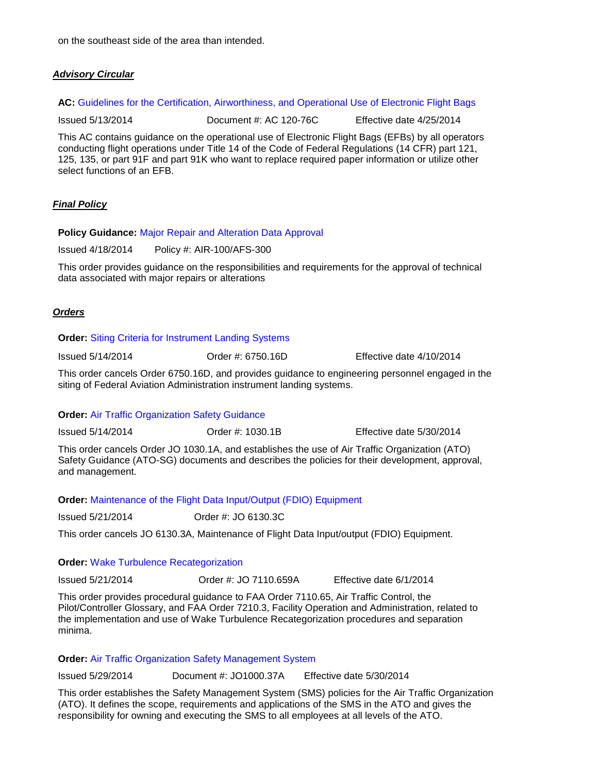on the southeast side of the area than intended.

# *Advisory Circular*

AC: [Guidelines for the Certification, Airworthiness, and Operational Use of Electronic Flight Bags](http://www.airweb.faa.gov/Regulatory_and_Guidance_Library/rgAdvisoryCircular.nsf/0/0bdbff28972875fc86257cd80067ba5d/$FILE/AC%20120-76C.pdf)

Issued 5/13/2014 Document #: AC 120-76C Effective date 4/25/2014

This AC contains guidance on the operational use of Electronic Flight Bags (EFBs) by all operators conducting flight operations under Title 14 of the Code of Federal Regulations (14 CFR) part 121, 125, 135, or part 91F and part 91K who want to replace required paper information or utilize other select functions of an EFB.

# *Final Policy*

## **Policy Guidance:** [Major Repair and Alteration Data Approval](http://www.faa.gov/documentLibrary/media/Order/8300_16.pdf)

Issued 4/18/2014 Policy #: AIR-100/AFS-300

This order provides guidance on the responsibilities and requirements for the approval of technical data associated with major repairs or alterations

# *Orders*

#### **Order:** [Siting Criteria for Instrument Landing Systems](http://www.faa.gov/regulations_policies/orders_notices/index.cfm/go/document.information/documentID/1024367)

Issued 5/14/2014 Order #: 6750.16D Effective date 4/10/2014

This order cancels Order 6750.16D, and provides guidance to engineering personnel engaged in the siting of Federal Aviation Administration instrument landing systems.

# **Order:** [Air Traffic Organization Safety Guidance](http://www.faa.gov/regulations_policies/orders_notices/index.cfm/go/document.information/documentID/1024368)

Issued 5/14/2014 Order #: 1030.1B Effective date 5/30/2014

This order cancels Order JO 1030.1A, and establishes the use of Air Traffic Organization (ATO) Safety Guidance (ATO-SG) documents and describes the policies for their development, approval, and management.

**Order:** [Maintenance of the Flight Data Input/Output \(FDIO\) Equipment](http://www.faa.gov/regulations_policies/orders_notices/index.cfm/go/document.information/documentID/99696)

Issued 5/21/2014 Order #: JO 6130.3C

This order cancels JO 6130.3A, Maintenance of Flight Data Input/output (FDIO) Equipment.

# **Order:** [Wake Turbulence Recategorization](http://www.faa.gov/regulations_policies/orders_notices/index.cfm/go/document.information/documentID/1024387)

Issued 5/21/2014 Order #: JO 7110.659A Effective date 6/1/2014

This order provides procedural guidance to FAA Order 7110.65, Air Traffic Control, the Pilot/Controller Glossary, and FAA Order 7210.3, Facility Operation and Administration, related to the implementation and use of Wake Turbulence Recategorization procedures and separation minima.

#### **Order:** [Air Traffic Organization Safety Management System](http://www.faa.gov/regulations_policies/orders_notices/index.cfm/go/document.information/documentID/1024466)

Issued 5/29/2014 Document #: JO1000.37A Effective date 5/30/2014

This order establishes the Safety Management System (SMS) policies for the Air Traffic Organization (ATO). It defines the scope, requirements and applications of the SMS in the ATO and gives the responsibility for owning and executing the SMS to all employees at all levels of the ATO.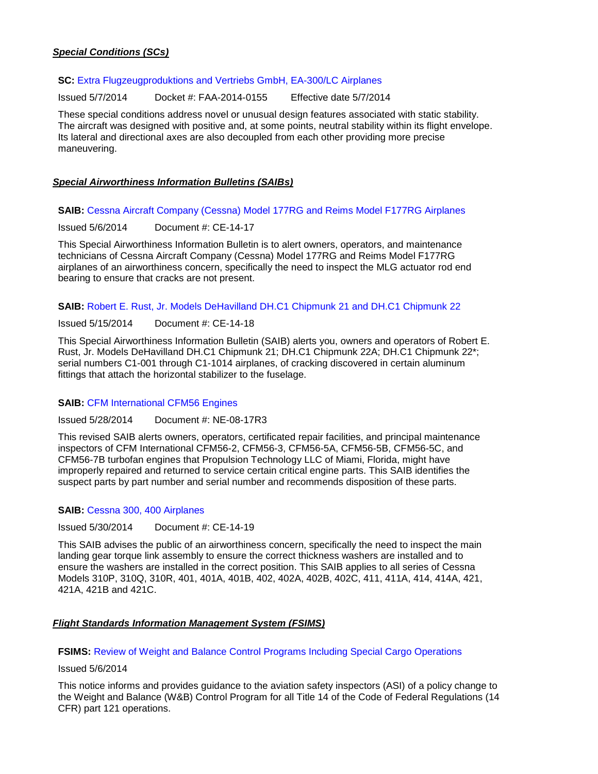# *Special Conditions (SCs)*

## **SC:** [Extra Flugzeugproduktions and Vertriebs](https://www.federalregister.gov/articles/2014/04/03/2014-07235/airworthiness-directives-airbus-airplanes) GmbH, EA-300/LC Airplanes

Issued 5/7/2014 Docket #: FAA-2014-0155 Effective date 5/7/2014

These special conditions address novel or unusual design features associated with static stability. The aircraft was designed with positive and, at some points, neutral stability within its flight envelope. Its lateral and directional axes are also decoupled from each other providing more precise maneuvering.

# *Special Airworthiness Information Bulletins (SAIBs)*

## **SAIB:** [Cessna Aircraft Company \(Cessna\) Model 177RG and Reims Model F177RG Airplanes](http://rgl.faa.gov/Regulatory_and_Guidance_Library/rgSAIB.nsf/dc7bd4f27e5f107486257221005f069d/872dc07e953f322086257cd0004c5261/$FILE/CE-14-17.pdf)

Issued 5/6/2014 Document #: CE-14-17

This Special Airworthiness Information Bulletin is to alert owners, operators, and maintenance technicians of Cessna Aircraft Company (Cessna) Model 177RG and Reims Model F177RG airplanes of an airworthiness concern, specifically the need to inspect the MLG actuator rod end bearing to ensure that cracks are not present.

# **SAIB:** [Robert E. Rust, Jr. Models DeHavilland DH.C1 Chipmunk 21 and DH.C1 Chipmunk 22](http://rgl.faa.gov/Regulatory_and_Guidance_Library/rgSAIB.nsf/dc7bd4f27e5f107486257221005f069d/1340a078831452d886257cd9005d5fc9/$FILE/CE-14-18.pdf)

Issued 5/15/2014 Document #: CE-14-18

This Special Airworthiness Information Bulletin (SAIB) alerts you, owners and operators of Robert E. Rust, Jr. Models DeHavilland DH.C1 Chipmunk 21; DH.C1 Chipmunk 22A; DH.C1 Chipmunk 22\*; serial numbers C1-001 through C1-1014 airplanes, of cracking discovered in certain aluminum fittings that attach the horizontal stabilizer to the fuselage.

# **SAIB:** [CFM International CFM56 Engines](http://rgl.faa.gov/Regulatory_and_Guidance_Library%5CrgSAIB.nsf/%28LookupSAIBs%29/NE-08-17R3?OpenDocument)

Issued 5/28/2014 Document #: NE-08-17R3

This revised SAIB alerts owners, operators, certificated repair facilities, and principal maintenance inspectors of CFM International CFM56-2, CFM56-3, CFM56-5A, CFM56-5B, CFM56-5C, and CFM56-7B turbofan engines that Propulsion Technology LLC of Miami, Florida, might have improperly repaired and returned to service certain critical engine parts. This SAIB identifies the suspect parts by part number and serial number and recommends disposition of these parts.

# **SAIB:** [Cessna 300, 400 Airplanes](http://rgl.faa.gov/Regulatory_and_Guidance_Library/rgSAIB.nsf/(LookupSAIBs)/CE-14-19?OpenDocument)

Issued 5/30/2014 Document #: CE-14-19

This SAIB advises the public of an airworthiness concern, specifically the need to inspect the main landing gear torque link assembly to ensure the correct thickness washers are installed and to ensure the washers are installed in the correct position. This SAIB applies to all series of Cessna Models 310P, 310Q, 310R, 401, 401A, 401B, 402, 402A, 402B, 402C, 411, 411A, 414, 414A, 421, 421A, 421B and 421C.

# *Flight Standards Information Management System (FSIMS)*

**FSIMS:** [Review of Weight and Balance Control Programs Including Special Cargo Operations](http://fsims.faa.gov/PICDetail.aspx?docId=N%208900.262)

## Issued 5/6/2014

This notice informs and provides guidance to the aviation safety inspectors (ASI) of a policy change to the Weight and Balance (W&B) Control Program for all Title 14 of the Code of Federal Regulations (14 CFR) part 121 operations.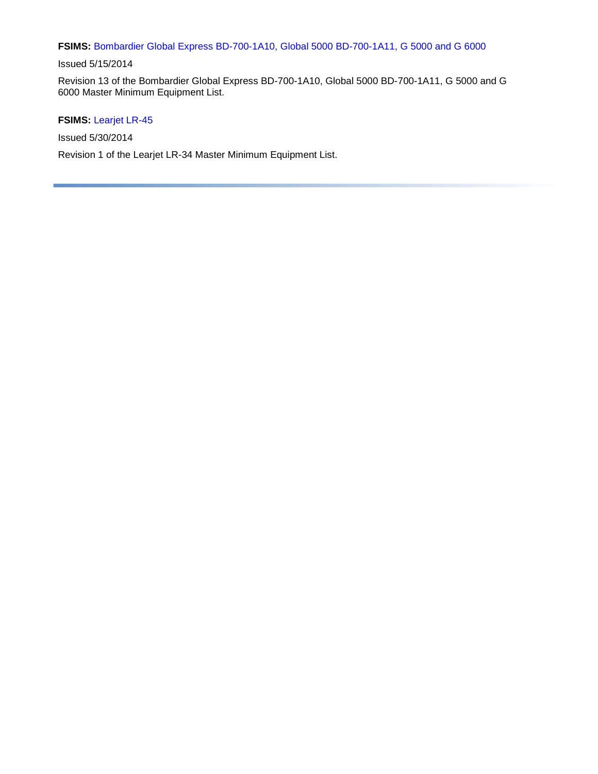# **FSIMS:** [Bombardier Global Express BD-700-1A10, Global 5000 BD-700-1A11, G 5000 and G 6000](http://fsims.faa.gov/PICDetail.aspx?docId=M%20BD-700-1A10%20R13)

# Issued 5/15/2014

Revision 13 of the Bombardier Global Express BD-700-1A10, Global 5000 BD-700-1A11, G 5000 and G 6000 Master Minimum Equipment List.

# **FSIMS:** [Learjet LR-45](http://fsims.faa.gov/PICDetail.aspx?docId=FSB%20LR-45%20R1)

Issued 5/30/2014

Revision 1 of the Learjet LR-34 Master Minimum Equipment List.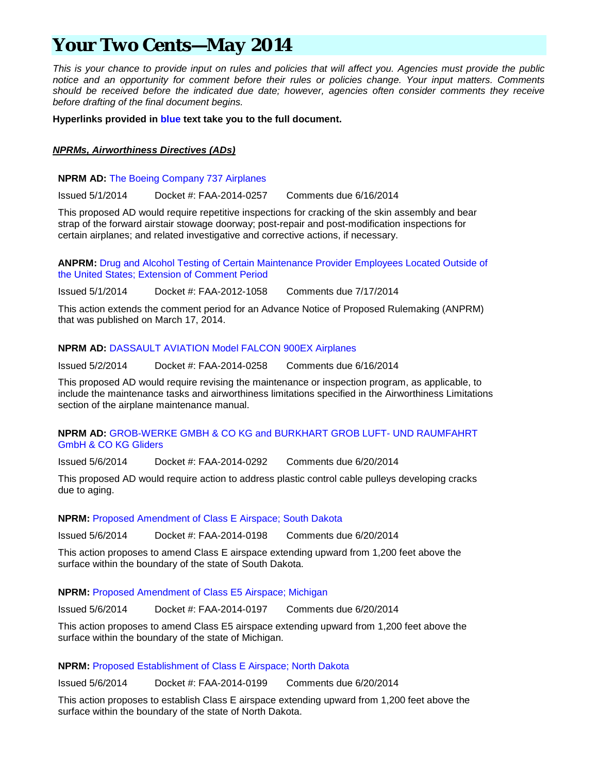# *Your Two Cents—May 2014*

*This is your chance to provide input on rules and policies that will affect you. Agencies must provide the public notice and an opportunity for comment before their rules or policies change. Your input matters. Comments should be received before the indicated due date; however, agencies often consider comments they receive before drafting of the final document begins.*

**Hyperlinks provided in blue text take you to the full document.**

# *NPRMs, Airworthiness Directives (ADs)*

# **NPRM AD:** [The Boeing Company 737 Airplanes](https://www.federalregister.gov/articles/2014/05/01/2014-09941/airworthiness-directives-the-boeing-company-airplanes)

Issued 5/1/2014 Docket #: FAA-2014-0257 Comments due 6/16/2014

This proposed AD would require repetitive inspections for cracking of the skin assembly and bear strap of the forward airstair stowage doorway; post-repair and post-modification inspections for certain airplanes; and related investigative and corrective actions, if necessary.

**ANPRM:** [Drug and Alcohol Testing of Certain Maintenance Provider Employees Located Outside of](https://www.federalregister.gov/articles/2014/05/01/2014-09969/drug-and-alcohol-testing-of-certain-maintenance-provider-employees-located-outside-of-the-united)  [the United States; Extension of Comment Period](https://www.federalregister.gov/articles/2014/05/01/2014-09969/drug-and-alcohol-testing-of-certain-maintenance-provider-employees-located-outside-of-the-united)

Issued 5/1/2014 Docket #: FAA-2012-1058 Comments due 7/17/2014

This action extends the comment period for an Advance Notice of Proposed Rulemaking (ANPRM) that was published on March 17, 2014.

# **NPRM AD:** [DASSAULT AVIATION Model FALCON 900EX Airplanes](https://www.federalregister.gov/articles/2014/05/02/2014-10059/airworthiness-directives-dassault-aviation-airplanes)

Issued 5/2/2014 Docket #: FAA-2014-0258 Comments due 6/16/2014

This proposed AD would require revising the maintenance or inspection program, as applicable, to include the maintenance tasks and airworthiness limitations specified in the Airworthiness Limitations section of the airplane maintenance manual.

# **NPRM AD:** [GROB-WERKE GMBH & CO KG and BURKHART GROB LUFT-](https://www.federalregister.gov/articles/2014/05/06/2014-10308/airworthiness-directives-grob-werke-gmbh-and-co-kg-and-burkhart-grob-luft--und-raumfahrt-gmbh-and-co) UND RAUMFAHRT [GmbH & CO KG Gliders](https://www.federalregister.gov/articles/2014/05/06/2014-10308/airworthiness-directives-grob-werke-gmbh-and-co-kg-and-burkhart-grob-luft--und-raumfahrt-gmbh-and-co)

Issued 5/6/2014 Docket #: FAA-2014-0292 Comments due 6/20/2014

This proposed AD would require action to address plastic control cable pulleys developing cracks due to aging.

# **NPRM:** [Proposed Amendment of Class E Airspace; South Dakota](https://www.federalregister.gov/articles/2014/05/06/2014-10335/proposed-amendment-of-class-e-airspace-south-dakota)

Issued 5/6/2014 Docket #: FAA-2014-0198 Comments due 6/20/2014

This action proposes to amend Class E airspace extending upward from 1,200 feet above the surface within the boundary of the state of South Dakota.

# **NPRM:** [Proposed Amendment of Class E5 Airspace; Michigan](https://www.federalregister.gov/articles/2014/05/06/2014-10336/proposed-amendment-of-class-e5-airspace-michigan)

Issued 5/6/2014 Docket #: FAA-2014-0197 Comments due 6/20/2014

This action proposes to amend Class E5 airspace extending upward from 1,200 feet above the surface within the boundary of the state of Michigan.

# **NPRM:** [Proposed Establishment of Class E Airspace; North Dakota](https://www.federalregister.gov/articles/2014/05/06/2014-10391/proposed-establishment-of-class-e-airspace-north-dakota)

Issued 5/6/2014 Docket #: FAA-2014-0199 Comments due 6/20/2014

This action proposes to establish Class E airspace extending upward from 1,200 feet above the surface within the boundary of the state of North Dakota.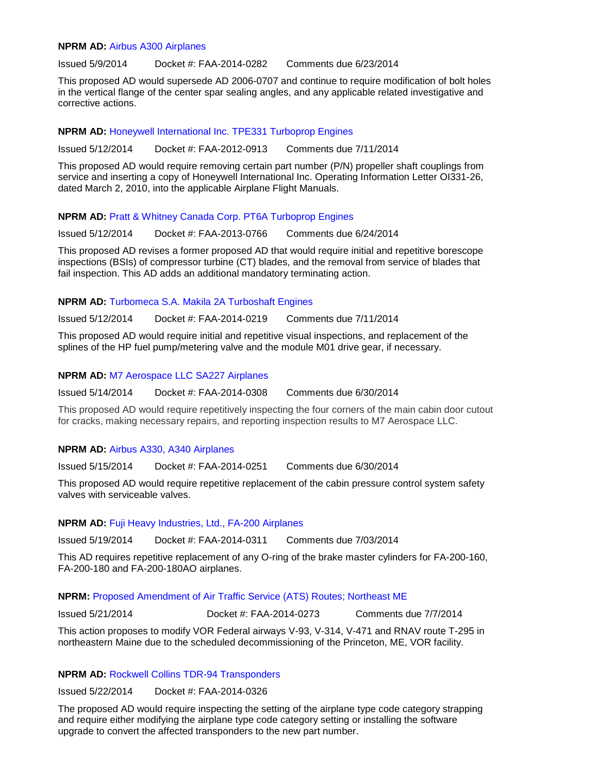#### **NPRM AD:** [Airbus A300 Airplanes](https://www.federalregister.gov/articles/2014/05/09/2014-10682/airworthiness-directives-airbus-airplanes)

Issued 5/9/2014 Docket #: FAA-2014-0282 Comments due 6/23/2014

This proposed AD would supersede AD 2006-0707 and continue to require modification of bolt holes in the vertical flange of the center spar sealing angles, and any applicable related investigative and corrective actions.

# **NPRM AD:** [Honeywell International Inc. TPE331 Turboprop Engines](https://www.federalregister.gov/articles/2014/05/12/2014-10783/airworthiness-directives-honeywell-international-inc-turboprop-engines)

Issued 5/12/2014 Docket #: FAA-2012-0913 Comments due 7/11/2014

This proposed AD would require removing certain part number (P/N) propeller shaft couplings from service and inserting a copy of Honeywell International Inc. Operating Information Letter OI331-26, dated March 2, 2010, into the applicable Airplane Flight Manuals.

# **NPRM AD:** [Pratt & Whitney Canada Corp. PT6A Turboprop Engines](https://www.federalregister.gov/articles/2014/05/12/2014-09929/airworthiness-directives-pratt-and-whitney-canada-corp-turboprop-engines)

Issued 5/12/2014 Docket #: FAA-2013-0766 Comments due 6/24/2014

This proposed AD revises a former proposed AD that would require initial and repetitive borescope inspections (BSIs) of compressor turbine (CT) blades, and the removal from service of blades that fail inspection. This AD adds an additional mandatory terminating action.

# **NPRM AD:** [Turbomeca S.A. Makila 2A Turboshaft Engines](https://www.federalregister.gov/articles/2014/05/12/2014-10782/airworthiness-directives-turbomeca-sa-turboshaft-engines)

Issued 5/12/2014 Docket #: FAA-2014-0219 Comments due 7/11/2014

This proposed AD would require initial and repetitive visual inspections, and replacement of the splines of the HP fuel pump/metering valve and the module M01 drive gear, if necessary.

# **NPRM AD:** [M7 Aerospace LLC SA227 Airplanes](https://www.federalregister.gov/articles/2014/05/14/2014-11072/airworthiness-directives-m7-aerospace-llc-airplanes)

Issued 5/14/2014 Docket #: FAA-2014-0308 Comments due 6/30/2014

This proposed AD would require repetitively inspecting the four corners of the main cabin door cutout for cracks, making necessary repairs, and reporting inspection results to M7 Aerospace LLC.

# **NPRM AD:** [Airbus A330, A340 Airplanes](https://www.federalregister.gov/articles/2014/05/15/2014-11187/airworthiness-directives-airbus-airplanes)

Issued 5/15/2014 Docket #: FAA-2014-0251 Comments due 6/30/2014

This proposed AD would require repetitive replacement of the cabin pressure control system safety valves with serviceable valves.

# **NPRM AD:** [Fuji Heavy Industries, Ltd., FA-200 Airplanes](https://www.federalregister.gov/articles/2014/05/19/2014-11476/airworthiness-directives-fuji-heavy-industries-ltd-airplanes)

Issued 5/19/2014 Docket #: FAA-2014-0311 Comments due 7/03/2014

This AD requires repetitive replacement of any O-ring of the brake master cylinders for FA-200-160, FA-200-180 and FA-200-180AO airplanes.

# **NPRM:** [Proposed Amendment of Air Traffic Service \(ATS\) Routes; Northeast ME](https://www.federalregister.gov/articles/2014/05/21/2014-11777/proposed-amendment-of-air-traffic-service-ats-routes-northeast-me)

Issued 5/21/2014 Docket #: FAA-2014-0273 Comments due 7/7/2014

This action proposes to modify VOR Federal airways V-93, V-314, V-471 and RNAV route T-295 in northeastern Maine due to the scheduled decommissioning of the Princeton, ME, VOR facility.

# **NPRM AD:** [Rockwell Collins TDR-94 Transponders](https://www.federalregister.gov/articles/2014/05/22/2014-11846/airworthiness-directives-rockwell-collins-inc-transponders)

Issued 5/22/2014 Docket #: FAA-2014-0326

The proposed AD would require inspecting the setting of the airplane type code category strapping and require either modifying the airplane type code category setting or installing the software upgrade to convert the affected transponders to the new part number.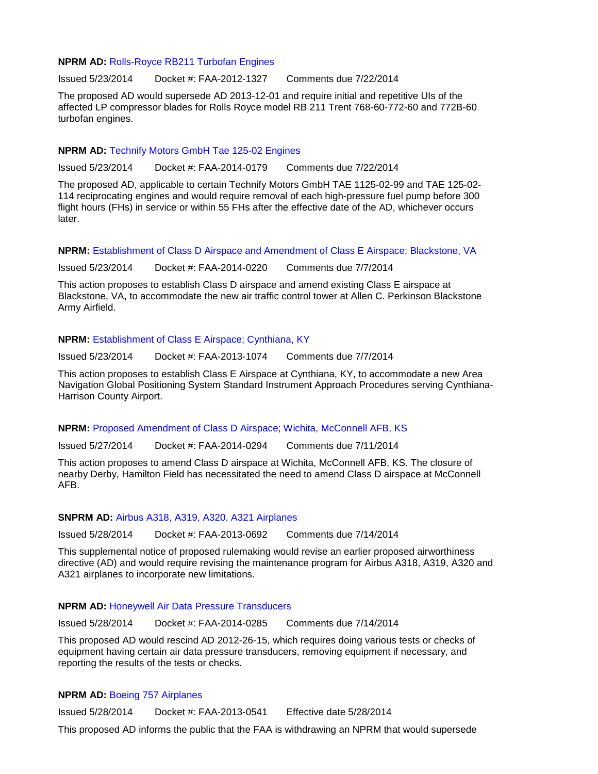#### **NPRM AD:** [Rolls-Royce RB211 Turbofan Engines](https://www.federalregister.gov/articles/2014/05/23/2014-11919/airworthiness-directives-rolls-royce-plc-turbofan-engines)

Issued 5/23/2014 Docket #: FAA-2012-1327 Comments due 7/22/2014

The proposed AD would supersede AD 2013-12-01 and require initial and repetitive UIs of the affected LP compressor blades for Rolls Royce model RB 211 Trent 768-60-772-60 and 772B-60 turbofan engines.

## **NPRM AD:** [Technify Motors GmbH Tae 125-02 Engines](https://www.federalregister.gov/articles/2014/05/23/2014-11983/airworthiness-directives-technify-motors-gmbh-reciprocating-engines)

Issued 5/23/2014 Docket #: FAA-2014-0179 Comments due 7/22/2014

The proposed AD, applicable to certain Technify Motors GmbH TAE 1125-02-99 and TAE 125-02- 114 reciprocating engines and would require removal of each high-pressure fuel pump before 300 flight hours (FHs) in service or within 55 FHs after the effective date of the AD, whichever occurs later.

**NPRM:** [Establishment of Class D Airspace and Amendment of Class E Airspace; Blackstone, VA](https://www.federalregister.gov/articles/2014/05/23/2014-11859/proposed-establishment-of-class-d-airspace-and-amendment-of-class-e-airspace-blackstone-va)

Issued 5/23/2014 Docket #: FAA-2014-0220 Comments due 7/7/2014

This action proposes to establish Class D airspace and amend existing Class E airspace at Blackstone, VA, to accommodate the new air traffic control tower at Allen C. Perkinson Blackstone Army Airfield.

## **NPRM:** [Establishment of Class E Airspace; Cynthiana, KY](https://www.federalregister.gov/articles/2014/05/23/2014-11858/proposed-establishment-of-class-e-airspace-cynthiana-ky)

Issued 5/23/2014 Docket #: FAA-2013-1074 Comments due 7/7/2014

This action proposes to establish Class E Airspace at Cynthiana, KY, to accommodate a new Area Navigation Global Positioning System Standard Instrument Approach Procedures serving Cynthiana-Harrison County Airport.

# **NPRM:** [Proposed Amendment of Class D Airspace; Wichita, McConnell AFB, KS](https://www.federalregister.gov/articles/2014/05/27/2014-12177/proposed-amendment-of-class-d-airspace-wichita-mcconnell-afb-ks)

Issued 5/27/2014 Docket #: FAA-2014-0294 Comments due 7/11/2014

This action proposes to amend Class D airspace at Wichita, McConnell AFB, KS. The closure of nearby Derby, Hamilton Field has necessitated the need to amend Class D airspace at McConnell AFB.

## **SNPRM AD:** [Airbus A318, A319, A320, A321 Airplanes](https://www.federalregister.gov/articles/2014/05/28/2014-12251/airworthiness-directives-airbus-airplanes)

Issued 5/28/2014 Docket #: FAA-2013-0692 Comments due 7/14/2014

This supplemental notice of proposed rulemaking would revise an earlier proposed airworthiness directive (AD) and would require revising the maintenance program for Airbus A318, A319, A320 and A321 airplanes to incorporate new limitations.

#### **NPRM AD:** [Honeywell Air Data Pressure Transducers](https://www.federalregister.gov/articles/2014/05/28/2014-12256/airworthiness-directives-honeywell-international-inc-air-data-pressure-transducers)

Issued 5/28/2014 Docket #: FAA-2014-0285 Comments due 7/14/2014

This proposed AD would rescind AD 2012-26-15, which requires doing various tests or checks of equipment having certain air data pressure transducers, removing equipment if necessary, and reporting the results of the tests or checks.

# **NPRM AD:** [Boeing 757 Airplanes](https://www.federalregister.gov/articles/2014/05/28/2014-12258/airworthiness-directives-the-boeing-company-airplanes)

Issued 5/28/2014 Docket #: FAA-2013-0541 Effective date 5/28/2014

This proposed AD informs the public that the FAA is withdrawing an NPRM that would supersede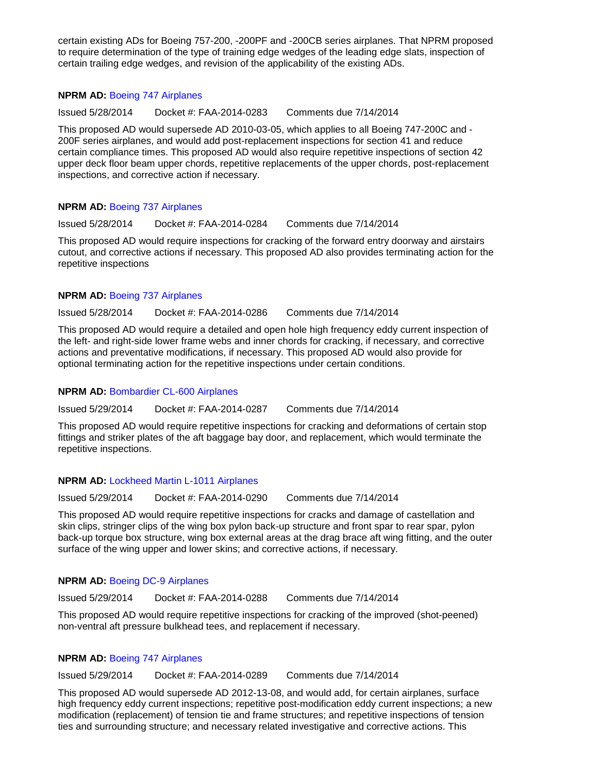certain existing ADs for Boeing 757-200, -200PF and -200CB series airplanes. That NPRM proposed to require determination of the type of training edge wedges of the leading edge slats, inspection of certain trailing edge wedges, and revision of the applicability of the existing ADs.

## **NPRM AD:** [Boeing 747 Airplanes](https://www.federalregister.gov/articles/2014/05/28/2014-12260/airworthiness-directives-the-boeing-company-airplanes)

Issued 5/28/2014 Docket #: FAA-2014-0283 Comments due 7/14/2014

This proposed AD would supersede AD 2010-03-05, which applies to all Boeing 747-200C and - 200F series airplanes, and would add post-replacement inspections for section 41 and reduce certain compliance times. This proposed AD would also require repetitive inspections of section 42 upper deck floor beam upper chords, repetitive replacements of the upper chords, post-replacement inspections, and corrective action if necessary.

# **NPRM AD:** [Boeing 737 Airplanes](https://www.federalregister.gov/articles/2014/05/28/2014-12254/airworthiness-directives-the-boeing-company-airplanes)

Issued 5/28/2014 Docket #: FAA-2014-0284 Comments due 7/14/2014

This proposed AD would require inspections for cracking of the forward entry doorway and airstairs cutout, and corrective actions if necessary. This proposed AD also provides terminating action for the repetitive inspections

# **NPRM AD:** [Boeing 737 Airplanes](https://www.federalregister.gov/articles/2014/05/28/2014-12244/airworthiness-directives-the-boeing-company-airplanes)

Issued 5/28/2014 Docket #: FAA-2014-0286 Comments due 7/14/2014

This proposed AD would require a detailed and open hole high frequency eddy current inspection of the left- and right-side lower frame webs and inner chords for cracking, if necessary, and corrective actions and preventative modifications, if necessary. This proposed AD would also provide for optional terminating action for the repetitive inspections under certain conditions.

# **NPRM AD:** [Bombardier CL-600 Airplanes](https://www.federalregister.gov/articles/2014/05/29/2014-12473/bombardier-inc-airplanes-airworthiness-directives)

Issued 5/29/2014 Docket #: FAA-2014-0287 Comments due 7/14/2014

This proposed AD would require repetitive inspections for cracking and deformations of certain stop fittings and striker plates of the aft baggage bay door, and replacement, which would terminate the repetitive inspections.

# **NPRM AD:** [Lockheed Martin L-1011 Airplanes](https://www.federalregister.gov/articles/2014/05/29/2014-12448/lockheed-martin-corporationlockheed-martin-aeronautics-company-airplanes-airworthiness-directives)

Issued 5/29/2014 Docket #: FAA-2014-0290 Comments due 7/14/2014

This proposed AD would require repetitive inspections for cracks and damage of castellation and skin clips, stringer clips of the wing box pylon back-up structure and front spar to rear spar, pylon back-up torque box structure, wing box external areas at the drag brace aft wing fitting, and the outer surface of the wing upper and lower skins; and corrective actions, if necessary.

# **NPRM AD:** [Boeing DC-9 Airplanes](https://www.federalregister.gov/articles/2014/05/29/2014-12475/the-boeing-company-airplanes-airworthiness-directives)

Issued 5/29/2014 Docket #: FAA-2014-0288 Comments due 7/14/2014

This proposed AD would require repetitive inspections for cracking of the improved (shot-peened) non-ventral aft pressure bulkhead tees, and replacement if necessary.

# **NPRM AD:** [Boeing 747 Airplanes](https://www.federalregister.gov/articles/2014/05/29/2014-12479/the-boeing-company-airplanes-airworthiness-directives)

Issued 5/29/2014 Docket #: FAA-2014-0289 Comments due 7/14/2014

This proposed AD would supersede AD 2012-13-08, and would add, for certain airplanes, surface high frequency eddy current inspections; repetitive post-modification eddy current inspections; a new modification (replacement) of tension tie and frame structures; and repetitive inspections of tension ties and surrounding structure; and necessary related investigative and corrective actions. This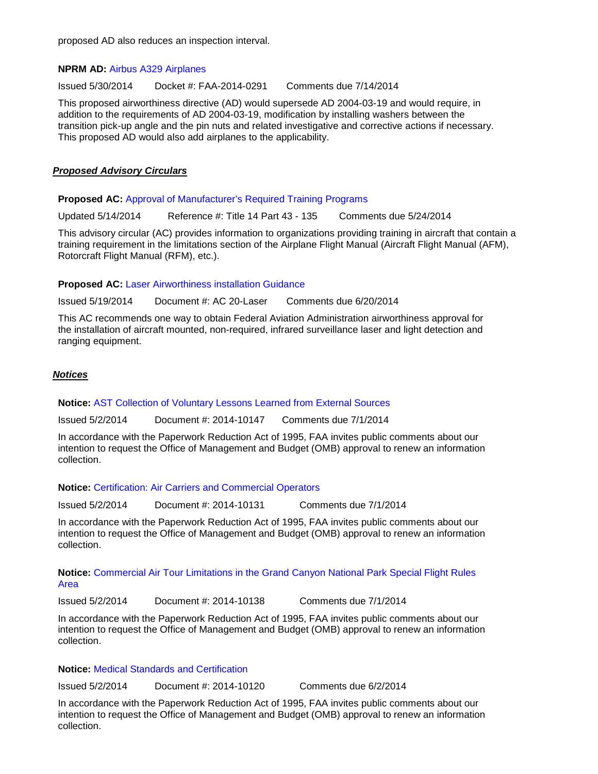proposed AD also reduces an inspection interval.

# **NPRM AD:** [Airbus A329 Airplanes](https://www.federalregister.gov/articles/2014/05/30/2014-12613/airworthiness-directives-airbus-airplanes)

Issued 5/30/2014 Docket #: FAA-2014-0291 Comments due 7/14/2014

This proposed airworthiness directive (AD) would supersede AD 2004-03-19 and would require, in addition to the requirements of AD 2004-03-19, modification by installing washers between the transition pick-up angle and the pin nuts and related investigative and corrective actions if necessary. This proposed AD would also add airplanes to the applicability.

# *Proposed Advisory Circulars*

**Proposed AC:** [Approval of Manufacturer's Required Training Programs](http://www.faa.gov/aircraft/draft_docs/afs_ac/)

Updated 5/14/2014 Reference #: Title 14 Part 43 - 135 Comments due 5/24/2014

This advisory circular (AC) provides information to organizations providing training in aircraft that contain a training requirement in the limitations section of the Airplane Flight Manual (Aircraft Flight Manual (AFM), Rotorcraft Flight Manual (RFM), etc.).

**Proposed AC:** [Laser Airworthiness installation Guidance](http://www.faa.gov/aircraft/draft_docs/media/AC20-Laser.pdf)

Issued 5/19/2014 Document #: AC 20-Laser Comments due 6/20/2014

This AC recommends one way to obtain Federal Aviation Administration airworthiness approval for the installation of aircraft mounted, non-required, infrared surveillance laser and light detection and ranging equipment.

# *Notices*

**Notice:** [AST Collection of Voluntary Lessons Learned from External Sources](https://www.federalregister.gov/articles/2014/05/02/2014-10147/agency-information-collection-activities-requests-for-comments-clearance-of-renewed-approval-of)

Issued 5/2/2014 Document #: 2014-10147 Comments due 7/1/2014

In accordance with the Paperwork Reduction Act of 1995, FAA invites public comments about our intention to request the Office of Management and Budget (OMB) approval to renew an information collection.

**Notice:** [Certification: Air Carriers and Commercial Operators](https://www.federalregister.gov/articles/2014/05/02/2014-10131/agency-information-collection-activities-requests-for-comments-clearance-of-renewed-approval-of)

Issued 5/2/2014 Document #: 2014-10131 Comments due 7/1/2014

In accordance with the Paperwork Reduction Act of 1995, FAA invites public comments about our intention to request the Office of Management and Budget (OMB) approval to renew an information collection.

**Notice:** [Commercial Air Tour Limitations in the Grand Canyon National Park Special Flight Rules](https://www.federalregister.gov/articles/2014/05/02/2014-10138/agency-information-collection-activities-requests-for-comments-clearance-of-renewed-approval-of)  [Area](https://www.federalregister.gov/articles/2014/05/02/2014-10138/agency-information-collection-activities-requests-for-comments-clearance-of-renewed-approval-of)

Issued 5/2/2014 Document #: 2014-10138 Comments due 7/1/2014

In accordance with the Paperwork Reduction Act of 1995, FAA invites public comments about our intention to request the Office of Management and Budget (OMB) approval to renew an information collection.

**Notice:** [Medical Standards and Certification](https://www.federalregister.gov/articles/2014/05/02/2014-10120/agency-information-collection-activities-requests-for-comments-clearance-of-renewed-approval-of)

Issued 5/2/2014 Document #: 2014-10120 Comments due 6/2/2014

In accordance with the Paperwork Reduction Act of 1995, FAA invites public comments about our intention to request the Office of Management and Budget (OMB) approval to renew an information collection.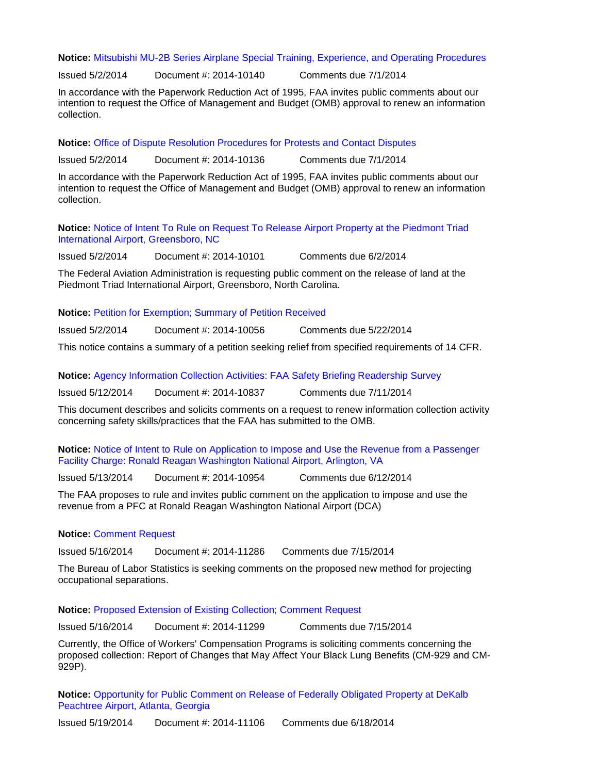**Notice:** [Mitsubishi MU-2B Series Airplane Special Training, Experience, and Operating Procedures](https://www.federalregister.gov/articles/2014/05/02/2014-10140/agency-information-collection-activities-requests-for-comments-clearance-of-renewed-approval-of)

Issued 5/2/2014 Document #: 2014-10140 Comments due 7/1/2014

In accordance with the Paperwork Reduction Act of 1995, FAA invites public comments about our intention to request the Office of Management and Budget (OMB) approval to renew an information collection.

**Notice:** [Office of Dispute Resolution Procedures for Protests and Contact Disputes](https://www.federalregister.gov/articles/2014/05/02/2014-10136/agency-information-collection-activities-requests-for-comments-clearance-of-renewed-approval-of)

Issued 5/2/2014 Document #: 2014-10136 Comments due 7/1/2014

In accordance with the Paperwork Reduction Act of 1995, FAA invites public comments about our intention to request the Office of Management and Budget (OMB) approval to renew an information collection.

**Notice:** [Notice of Intent To Rule on Request To Release Airport Property at the Piedmont Triad](https://www.federalregister.gov/articles/2014/05/02/2014-10101/notice-of-intent-to-rule-on-request-to-release-airport-property-at-the-piedmont-triad-international)  [International Airport, Greensboro, NC](https://www.federalregister.gov/articles/2014/05/02/2014-10101/notice-of-intent-to-rule-on-request-to-release-airport-property-at-the-piedmont-triad-international)

Issued 5/2/2014 Document #: 2014-10101 Comments due 6/2/2014

The Federal Aviation Administration is requesting public comment on the release of land at the Piedmont Triad International Airport, Greensboro, North Carolina.

**Notice:** [Petition for Exemption; Summary of Petition Received](https://www.federalregister.gov/articles/2014/05/02/2014-10056/petition-for-exemption-summary-of-petition-received)

Issued 5/2/2014 Document #: 2014-10056 Comments due 5/22/2014

This notice contains a summary of a petition seeking relief from specified requirements of 14 CFR.

**Notice:** [Agency Information Collection Activities: FAA Safety Briefing Readership Survey](https://www.federalregister.gov/articles/2014/05/12/2014-10837/agency-information-collection-activities-requests-for-comments-clearance-of-renewed-approval-of)

Issued 5/12/2014 Document #: 2014-10837 Comments due 7/11/2014

This document describes and solicits comments on a request to renew information collection activity concerning safety skills/practices that the FAA has submitted to the OMB.

**Notice:** [Notice of Intent to Rule on Application to Impose and Use the Revenue from a Passenger](https://www.federalregister.gov/articles/2014/05/13/2014-10954/notice-of-intent-to-rule-on-application-14-09-c-00-dca-to-impose-and-use-the-revenue-from-a)  [Facility Charge: Ronald Reagan Washington National Airport, Arlington, VA](https://www.federalregister.gov/articles/2014/05/13/2014-10954/notice-of-intent-to-rule-on-application-14-09-c-00-dca-to-impose-and-use-the-revenue-from-a)

Issued 5/13/2014 Document #: 2014-10954 Comments due 6/12/2014

The FAA proposes to rule and invites public comment on the application to impose and use the revenue from a PFC at Ronald Reagan Washington National Airport (DCA)

#### **Notice:** [Comment Request](https://www.federalregister.gov/articles/2014/05/16/2014-11286/comment-request)

Issued 5/16/2014 Document #: 2014-11286 Comments due 7/15/2014

The Bureau of Labor Statistics is seeking comments on the proposed new method for projecting occupational separations.

**Notice:** [Proposed Extension of Existing Collection; Comment Request](https://www.federalregister.gov/articles/2014/05/16/2014-11299/proposed-extension-of-existing-collection-comment-request)

Issued 5/16/2014 Document #: 2014-11299 Comments due 7/15/2014

Currently, the Office of Workers' Compensation Programs is soliciting comments concerning the proposed collection: Report of Changes that May Affect Your Black Lung Benefits (CM-929 and CM-929P).

**Notice:** [Opportunity for Public Comment on Release of Federally Obligated Property at DeKalb](https://www.federalregister.gov/articles/2014/05/19/2014-11106/notice-of-opportunity-for-public-comment-on-release-of-federally-obligated-property-at-dekalb)  [Peachtree Airport, Atlanta, Georgia](https://www.federalregister.gov/articles/2014/05/19/2014-11106/notice-of-opportunity-for-public-comment-on-release-of-federally-obligated-property-at-dekalb)

Issued 5/19/2014 Document #: 2014-11106 Comments due 6/18/2014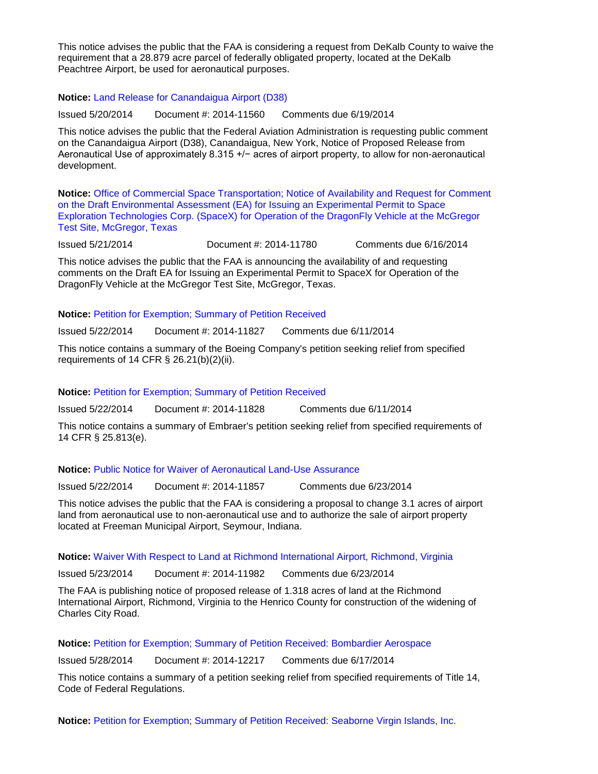This notice advises the public that the FAA is considering a request from DeKalb County to waive the requirement that a 28.879 acre parcel of federally obligated property, located at the DeKalb Peachtree Airport, be used for aeronautical purposes.

**Notice:** [Land Release for Canandaigua Airport \(D38\)](https://www.federalregister.gov/articles/2014/05/20/2014-11560/land-release-for-canandaigua-airport-d38)

Issued 5/20/2014 Document #: 2014-11560 Comments due 6/19/2014

This notice advises the public that the Federal Aviation Administration is requesting public comment on the Canandaigua Airport (D38), Canandaigua, New York, Notice of Proposed Release from Aeronautical Use of approximately 8.315 +/− acres of airport property, to allow for non-aeronautical development.

**Notice:** [Office of Commercial Space Transportation; Notice of Availability and Request for Comment](https://www.federalregister.gov/articles/2014/05/21/2014-11780/office-of-commercial-space-transportation-notice-of-availability-and-request-for-comment-on-the)  [on the Draft Environmental Assessment \(EA\) for Issuing an Experimental Permit to Space](https://www.federalregister.gov/articles/2014/05/21/2014-11780/office-of-commercial-space-transportation-notice-of-availability-and-request-for-comment-on-the)  [Exploration Technologies Corp. \(SpaceX\) for Operation of the DragonFly Vehicle at the McGregor](https://www.federalregister.gov/articles/2014/05/21/2014-11780/office-of-commercial-space-transportation-notice-of-availability-and-request-for-comment-on-the)  [Test Site, McGregor, Texas](https://www.federalregister.gov/articles/2014/05/21/2014-11780/office-of-commercial-space-transportation-notice-of-availability-and-request-for-comment-on-the)

Issued 5/21/2014 Document #: 2014-11780 Comments due 6/16/2014

This notice advises the public that the FAA is announcing the availability of and requesting comments on the Draft EA for Issuing an Experimental Permit to SpaceX for Operation of the DragonFly Vehicle at the McGregor Test Site, McGregor, Texas.

## **Notice:** [Petition for Exemption; Summary of Petition Received](https://www.federalregister.gov/articles/2014/05/22/2014-11827/petition-for-exemption-summary-of-petition-received)

Issued 5/22/2014 Document #: 2014-11827 Comments due 6/11/2014

This notice contains a summary of the Boeing Company's petition seeking relief from specified requirements of 14 CFR § 26.21(b)(2)(ii).

## **Notice:** [Petition for Exemption; Summary of Petition Received](https://www.federalregister.gov/articles/2014/05/22/2014-11828/petition-for-exemption-summary-of-petition-received)

Issued 5/22/2014 Document #: 2014-11828 Comments due 6/11/2014

This notice contains a summary of Embraer's petition seeking relief from specified requirements of 14 CFR § 25.813(e).

#### **Notice:** [Public Notice for Waiver of Aeronautical Land-Use Assurance](https://www.federalregister.gov/articles/2014/05/22/2014-11857/public-notice-for-waiver-of-aeronautical-land-use-assurance)

Issued 5/22/2014 Document #: 2014-11857 Comments due 6/23/2014

This notice advises the public that the FAA is considering a proposal to change 3.1 acres of airport land from aeronautical use to non-aeronautical use and to authorize the sale of airport property located at Freeman Municipal Airport, Seymour, Indiana.

# **Notice:** [Waiver With Respect to Land at Richmond International Airport, Richmond, Virginia](https://www.federalregister.gov/articles/2014/05/23/2014-11982/notice-before-waiver-with-respect-to-land-at-richmond-international-airport-richmond-virginia)

Issued 5/23/2014 Document #: 2014-11982 Comments due 6/23/2014

The FAA is publishing notice of proposed release of 1.318 acres of land at the Richmond International Airport, Richmond, Virginia to the Henrico County for construction of the widening of Charles City Road.

#### **Notice:** [Petition for Exemption; Summary of Petition Received: Bombardier Aerospace](https://www.federalregister.gov/articles/2014/05/28/2014-12217/petition-for-exemption-summary-of-petition-received)

Issued 5/28/2014 Document #: 2014-12217 Comments due 6/17/2014

This notice contains a summary of a petition seeking relief from specified requirements of Title 14, Code of Federal Regulations.

**Notice:** [Petition for Exemption; Summary of Petition Received: Seaborne Virgin Islands, Inc.](https://www.federalregister.gov/articles/2014/05/28/2014-12216/petition-for-exemption-summary-of-petition-received)